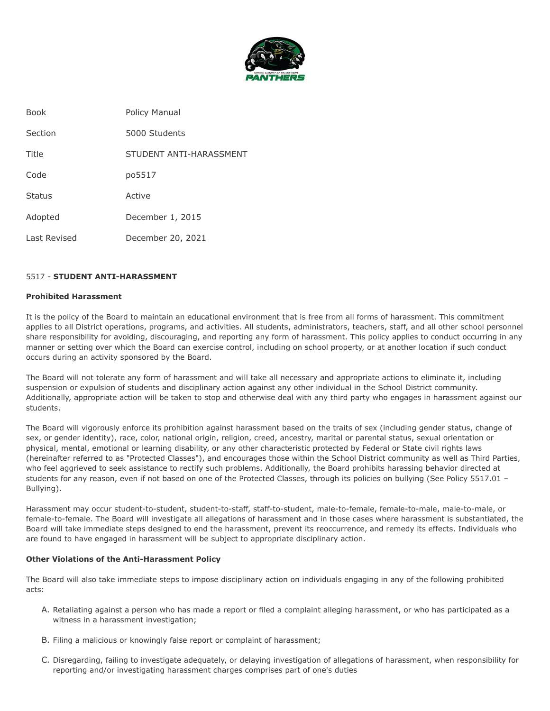

| <b>Book</b>   | Policy Manual           |
|---------------|-------------------------|
| Section       | 5000 Students           |
| Title         | STUDENT ANTI-HARASSMENT |
| Code          | po5517                  |
| <b>Status</b> | Active                  |
| Adopted       | December 1, 2015        |
| Last Revised  | December 20, 2021       |

# 5517 - **STUDENT ANTI-HARASSMENT**

### **Prohibited Harassment**

It is the policy of the Board to maintain an educational environment that is free from all forms of harassment. This commitment applies to all District operations, programs, and activities. All students, administrators, teachers, staff, and all other school personnel share responsibility for avoiding, discouraging, and reporting any form of harassment. This policy applies to conduct occurring in any manner or setting over which the Board can exercise control, including on school property, or at another location if such conduct occurs during an activity sponsored by the Board.

The Board will not tolerate any form of harassment and will take all necessary and appropriate actions to eliminate it, including suspension or expulsion of students and disciplinary action against any other individual in the School District community. Additionally, appropriate action will be taken to stop and otherwise deal with any third party who engages in harassment against our students.

The Board will vigorously enforce its prohibition against harassment based on the traits of sex (including gender status, change of sex, or gender identity), race, color, national origin, religion, creed, ancestry, marital or parental status, sexual orientation or physical, mental, emotional or learning disability, or any other characteristic protected by Federal or State civil rights laws (hereinafter referred to as "Protected Classes"), and encourages those within the School District community as well as Third Parties, who feel aggrieved to seek assistance to rectify such problems. Additionally, the Board prohibits harassing behavior directed at students for any reason, even if not based on one of the Protected Classes, through its policies on bullying (See Policy 5517.01 – Bullying).

Harassment may occur student-to-student, student-to-staff, staff-to-student, male-to-female, female-to-male, male-to-male, or female-to-female. The Board will investigate all allegations of harassment and in those cases where harassment is substantiated, the Board will take immediate steps designed to end the harassment, prevent its reoccurrence, and remedy its effects. Individuals who are found to have engaged in harassment will be subject to appropriate disciplinary action.

# **Other Violations of the Anti-Harassment Policy**

The Board will also take immediate steps to impose disciplinary action on individuals engaging in any of the following prohibited acts:

- A. Retaliating against a person who has made a report or filed a complaint alleging harassment, or who has participated as a witness in a harassment investigation;
- B. Filing a malicious or knowingly false report or complaint of harassment;
- C. Disregarding, failing to investigate adequately, or delaying investigation of allegations of harassment, when responsibility for reporting and/or investigating harassment charges comprises part of one's duties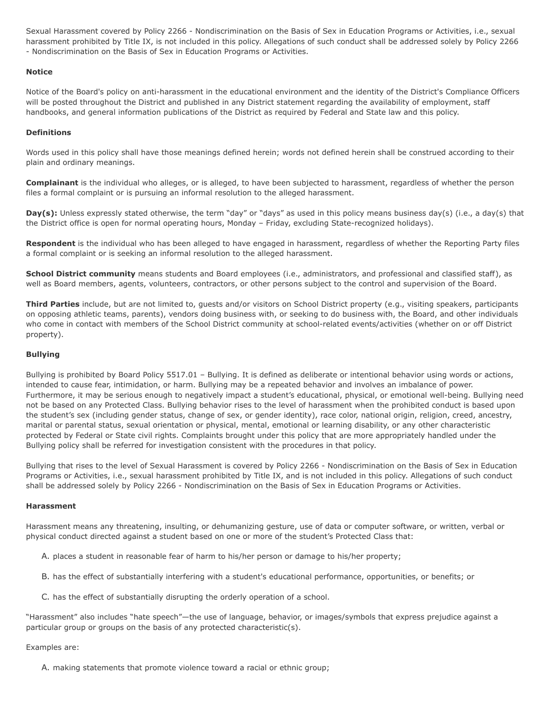Sexual Harassment covered by Policy 2266 - Nondiscrimination on the Basis of Sex in Education Programs or Activities, i.e., sexual harassment prohibited by Title IX, is not included in this policy. Allegations of such conduct shall be addressed solely by Policy 2266 - Nondiscrimination on the Basis of Sex in Education Programs or Activities.

# **Notice**

Notice of the Board's policy on anti-harassment in the educational environment and the identity of the District's Compliance Officers will be posted throughout the District and published in any District statement regarding the availability of employment, staff handbooks, and general information publications of the District as required by Federal and State law and this policy.

# **Definitions**

Words used in this policy shall have those meanings defined herein; words not defined herein shall be construed according to their plain and ordinary meanings.

**Complainant** is the individual who alleges, or is alleged, to have been subjected to harassment, regardless of whether the person files a formal complaint or is pursuing an informal resolution to the alleged harassment.

**Day(s):** Unless expressly stated otherwise, the term "day" or "days" as used in this policy means business day(s) (i.e., a day(s) that the District office is open for normal operating hours, Monday – Friday, excluding State-recognized holidays).

**Respondent** is the individual who has been alleged to have engaged in harassment, regardless of whether the Reporting Party files a formal complaint or is seeking an informal resolution to the alleged harassment.

**School District community** means students and Board employees (i.e., administrators, and professional and classified staff), as well as Board members, agents, volunteers, contractors, or other persons subject to the control and supervision of the Board.

**Third Parties** include, but are not limited to, guests and/or visitors on School District property (e.g., visiting speakers, participants on opposing athletic teams, parents), vendors doing business with, or seeking to do business with, the Board, and other individuals who come in contact with members of the School District community at school-related events/activities (whether on or off District property).

# **Bullying**

Bullying is prohibited by Board Policy 5517.01 – Bullying. It is defined as deliberate or intentional behavior using words or actions, intended to cause fear, intimidation, or harm. Bullying may be a repeated behavior and involves an imbalance of power. Furthermore, it may be serious enough to negatively impact a student's educational, physical, or emotional well-being. Bullying need not be based on any Protected Class. Bullying behavior rises to the level of harassment when the prohibited conduct is based upon the student's sex (including gender status, change of sex, or gender identity), race color, national origin, religion, creed, ancestry, marital or parental status, sexual orientation or physical, mental, emotional or learning disability, or any other characteristic protected by Federal or State civil rights. Complaints brought under this policy that are more appropriately handled under the Bullying policy shall be referred for investigation consistent with the procedures in that policy.

Bullying that rises to the level of Sexual Harassment is covered by Policy 2266 - Nondiscrimination on the Basis of Sex in Education Programs or Activities, i.e., sexual harassment prohibited by Title IX, and is not included in this policy. Allegations of such conduct shall be addressed solely by Policy 2266 - Nondiscrimination on the Basis of Sex in Education Programs or Activities.

# **Harassment**

Harassment means any threatening, insulting, or dehumanizing gesture, use of data or computer software, or written, verbal or physical conduct directed against a student based on one or more of the student's Protected Class that:

- A. places a student in reasonable fear of harm to his/her person or damage to his/her property;
- B. has the effect of substantially interfering with a student's educational performance, opportunities, or benefits; or
- C. has the effect of substantially disrupting the orderly operation of a school.

"Harassment" also includes "hate speech"—the use of language, behavior, or images/symbols that express prejudice against a particular group or groups on the basis of any protected characteristic(s).

### Examples are:

A. making statements that promote violence toward a racial or ethnic group;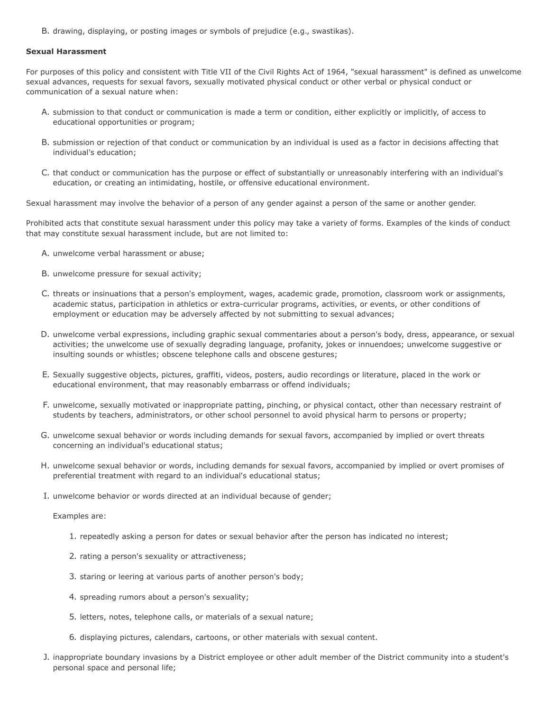B. drawing, displaying, or posting images or symbols of prejudice (e.g., swastikas).

#### **Sexual Harassment**

For purposes of this policy and consistent with Title VII of the Civil Rights Act of 1964, "sexual harassment" is defined as unwelcome sexual advances, requests for sexual favors, sexually motivated physical conduct or other verbal or physical conduct or communication of a sexual nature when:

- A. submission to that conduct or communication is made a term or condition, either explicitly or implicitly, of access to educational opportunities or program;
- B. submission or rejection of that conduct or communication by an individual is used as a factor in decisions affecting that individual's education;
- C. that conduct or communication has the purpose or effect of substantially or unreasonably interfering with an individual's education, or creating an intimidating, hostile, or offensive educational environment.

Sexual harassment may involve the behavior of a person of any gender against a person of the same or another gender.

Prohibited acts that constitute sexual harassment under this policy may take a variety of forms. Examples of the kinds of conduct that may constitute sexual harassment include, but are not limited to:

- A. unwelcome verbal harassment or abuse;
- B. unwelcome pressure for sexual activity;
- C. threats or insinuations that a person's employment, wages, academic grade, promotion, classroom work or assignments, academic status, participation in athletics or extra-curricular programs, activities, or events, or other conditions of employment or education may be adversely affected by not submitting to sexual advances;
- D. unwelcome verbal expressions, including graphic sexual commentaries about a person's body, dress, appearance, or sexual activities; the unwelcome use of sexually degrading language, profanity, jokes or innuendoes; unwelcome suggestive or insulting sounds or whistles; obscene telephone calls and obscene gestures;
- E. Sexually suggestive objects, pictures, graffiti, videos, posters, audio recordings or literature, placed in the work or educational environment, that may reasonably embarrass or offend individuals;
- F. unwelcome, sexually motivated or inappropriate patting, pinching, or physical contact, other than necessary restraint of students by teachers, administrators, or other school personnel to avoid physical harm to persons or property;
- G. unwelcome sexual behavior or words including demands for sexual favors, accompanied by implied or overt threats concerning an individual's educational status;
- H. unwelcome sexual behavior or words, including demands for sexual favors, accompanied by implied or overt promises of preferential treatment with regard to an individual's educational status;
- I. unwelcome behavior or words directed at an individual because of gender;

Examples are:

- 1. repeatedly asking a person for dates or sexual behavior after the person has indicated no interest;
- 2. rating a person's sexuality or attractiveness;
- 3. staring or leering at various parts of another person's body;
- 4. spreading rumors about a person's sexuality;
- 5. letters, notes, telephone calls, or materials of a sexual nature;
- 6. displaying pictures, calendars, cartoons, or other materials with sexual content.
- J. inappropriate boundary invasions by a District employee or other adult member of the District community into a student's personal space and personal life;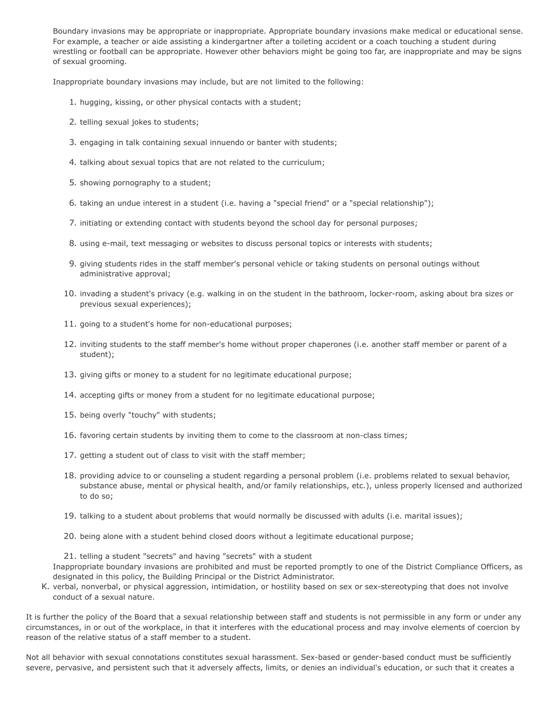Boundary invasions may be appropriate or inappropriate. Appropriate boundary invasions make medical or educational sense. For example, a teacher or aide assisting a kindergartner after a toileting accident or a coach touching a student during wrestling or football can be appropriate. However other behaviors might be going too far, are inappropriate and may be signs of sexual grooming.

Inappropriate boundary invasions may include, but are not limited to the following:

- 1. hugging, kissing, or other physical contacts with a student;
- 2. telling sexual jokes to students;
- 3. engaging in talk containing sexual innuendo or banter with students;
- 4. talking about sexual topics that are not related to the curriculum;
- 5. showing pornography to a student;
- 6. taking an undue interest in a student (i.e. having a "special friend" or a "special relationship");
- 7. initiating or extending contact with students beyond the school day for personal purposes;
- 8. using e-mail, text messaging or websites to discuss personal topics or interests with students;
- 9. giving students rides in the staff member's personal vehicle or taking students on personal outings without administrative approval;
- 10. invading a student's privacy (e.g. walking in on the student in the bathroom, locker-room, asking about bra sizes or previous sexual experiences);
- 11. going to a student's home for non-educational purposes;
- 12. inviting students to the staff member's home without proper chaperones (i.e. another staff member or parent of a student);
- 13. giving gifts or money to a student for no legitimate educational purpose;
- 14. accepting gifts or money from a student for no legitimate educational purpose;
- 15. being overly "touchy" with students;
- 16. favoring certain students by inviting them to come to the classroom at non-class times;
- 17. getting a student out of class to visit with the staff member;
- 18. providing advice to or counseling a student regarding a personal problem (i.e. problems related to sexual behavior, substance abuse, mental or physical health, and/or family relationships, etc.), unless properly licensed and authorized to do so;
- 19. talking to a student about problems that would normally be discussed with adults (i.e. marital issues);
- 20. being alone with a student behind closed doors without a legitimate educational purpose;

21. telling a student "secrets" and having "secrets" with a student Inappropriate boundary invasions are prohibited and must be reported promptly to one of the District Compliance Officers, as designated in this policy, the Building Principal or the District Administrator.

K. verbal, nonverbal, or physical aggression, intimidation, or hostility based on sex or sex-stereotyping that does not involve conduct of a sexual nature.

It is further the policy of the Board that a sexual relationship between staff and students is not permissible in any form or under any circumstances, in or out of the workplace, in that it interferes with the educational process and may involve elements of coercion by reason of the relative status of a staff member to a student.

Not all behavior with sexual connotations constitutes sexual harassment. Sex-based or gender-based conduct must be sufficiently severe, pervasive, and persistent such that it adversely affects, limits, or denies an individual's education, or such that it creates a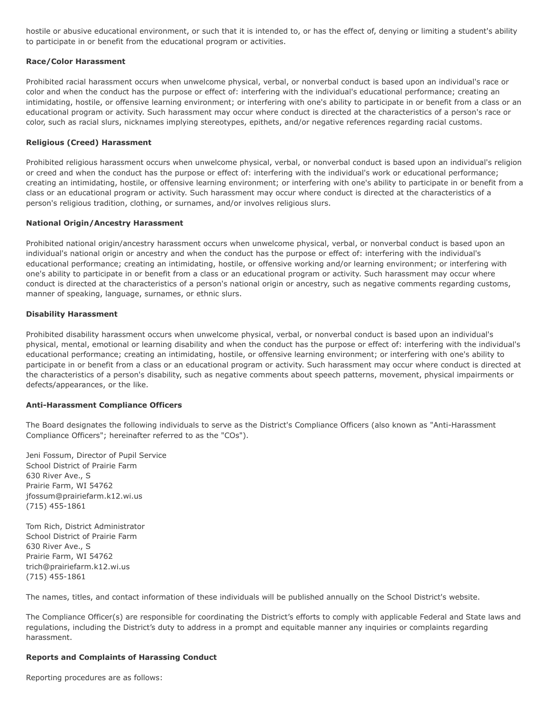hostile or abusive educational environment, or such that it is intended to, or has the effect of, denying or limiting a student's ability to participate in or benefit from the educational program or activities.

### **Race/Color Harassment**

Prohibited racial harassment occurs when unwelcome physical, verbal, or nonverbal conduct is based upon an individual's race or color and when the conduct has the purpose or effect of: interfering with the individual's educational performance; creating an intimidating, hostile, or offensive learning environment; or interfering with one's ability to participate in or benefit from a class or an educational program or activity. Such harassment may occur where conduct is directed at the characteristics of a person's race or color, such as racial slurs, nicknames implying stereotypes, epithets, and/or negative references regarding racial customs.

### **Religious (Creed) Harassment**

Prohibited religious harassment occurs when unwelcome physical, verbal, or nonverbal conduct is based upon an individual's religion or creed and when the conduct has the purpose or effect of: interfering with the individual's work or educational performance; creating an intimidating, hostile, or offensive learning environment; or interfering with one's ability to participate in or benefit from a class or an educational program or activity. Such harassment may occur where conduct is directed at the characteristics of a person's religious tradition, clothing, or surnames, and/or involves religious slurs.

### **National Origin/Ancestry Harassment**

Prohibited national origin/ancestry harassment occurs when unwelcome physical, verbal, or nonverbal conduct is based upon an individual's national origin or ancestry and when the conduct has the purpose or effect of: interfering with the individual's educational performance; creating an intimidating, hostile, or offensive working and/or learning environment; or interfering with one's ability to participate in or benefit from a class or an educational program or activity. Such harassment may occur where conduct is directed at the characteristics of a person's national origin or ancestry, such as negative comments regarding customs, manner of speaking, language, surnames, or ethnic slurs.

### **Disability Harassment**

Prohibited disability harassment occurs when unwelcome physical, verbal, or nonverbal conduct is based upon an individual's physical, mental, emotional or learning disability and when the conduct has the purpose or effect of: interfering with the individual's educational performance; creating an intimidating, hostile, or offensive learning environment; or interfering with one's ability to participate in or benefit from a class or an educational program or activity. Such harassment may occur where conduct is directed at the characteristics of a person's disability, such as negative comments about speech patterns, movement, physical impairments or defects/appearances, or the like.

#### **Anti-Harassment Compliance Officers**

The Board designates the following individuals to serve as the District's Compliance Officers (also known as "Anti-Harassment Compliance Officers"; hereinafter referred to as the "COs").

Jeni Fossum, Director of Pupil Service School District of Prairie Farm 630 River Ave., S Prairie Farm, WI 54762 jfossum@prairiefarm.k12.wi.us (715) 455-1861

Tom Rich, District Administrator School District of Prairie Farm 630 River Ave., S Prairie Farm, WI 54762 trich@prairiefarm.k12.wi.us (715) 455-1861

The names, titles, and contact information of these individuals will be published annually on the School District's website.

The Compliance Officer(s) are responsible for coordinating the District's efforts to comply with applicable Federal and State laws and regulations, including the District's duty to address in a prompt and equitable manner any inquiries or complaints regarding harassment.

#### **Reports and Complaints of Harassing Conduct**

Reporting procedures are as follows: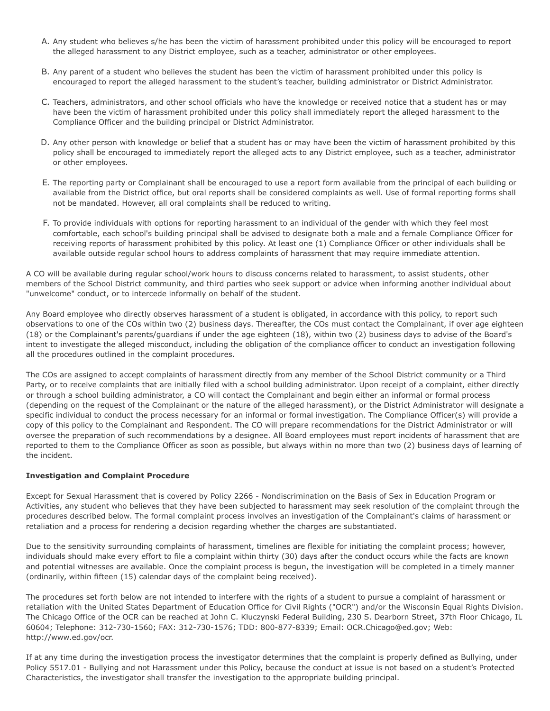- A. Any student who believes s/he has been the victim of harassment prohibited under this policy will be encouraged to report the alleged harassment to any District employee, such as a teacher, administrator or other employees.
- B. Any parent of a student who believes the student has been the victim of harassment prohibited under this policy is encouraged to report the alleged harassment to the student's teacher, building administrator or District Administrator.
- C. Teachers, administrators, and other school officials who have the knowledge or received notice that a student has or may have been the victim of harassment prohibited under this policy shall immediately report the alleged harassment to the Compliance Officer and the building principal or District Administrator.
- D. Any other person with knowledge or belief that a student has or may have been the victim of harassment prohibited by this policy shall be encouraged to immediately report the alleged acts to any District employee, such as a teacher, administrator or other employees.
- E. The reporting party or Complainant shall be encouraged to use a report form available from the principal of each building or available from the District office, but oral reports shall be considered complaints as well. Use of formal reporting forms shall not be mandated. However, all oral complaints shall be reduced to writing.
- F. To provide individuals with options for reporting harassment to an individual of the gender with which they feel most comfortable, each school's building principal shall be advised to designate both a male and a female Compliance Officer for receiving reports of harassment prohibited by this policy. At least one (1) Compliance Officer or other individuals shall be available outside regular school hours to address complaints of harassment that may require immediate attention.

A CO will be available during regular school/work hours to discuss concerns related to harassment, to assist students, other members of the School District community, and third parties who seek support or advice when informing another individual about "unwelcome" conduct, or to intercede informally on behalf of the student.

Any Board employee who directly observes harassment of a student is obligated, in accordance with this policy, to report such observations to one of the COs within two (2) business days. Thereafter, the COs must contact the Complainant, if over age eighteen (18) or the Complainant's parents/guardians if under the age eighteen (18), within two (2) business days to advise of the Board's intent to investigate the alleged misconduct, including the obligation of the compliance officer to conduct an investigation following all the procedures outlined in the complaint procedures.

The COs are assigned to accept complaints of harassment directly from any member of the School District community or a Third Party, or to receive complaints that are initially filed with a school building administrator. Upon receipt of a complaint, either directly or through a school building administrator, a CO will contact the Complainant and begin either an informal or formal process (depending on the request of the Complainant or the nature of the alleged harassment), or the District Administrator will designate a specific individual to conduct the process necessary for an informal or formal investigation. The Compliance Officer(s) will provide a copy of this policy to the Complainant and Respondent. The CO will prepare recommendations for the District Administrator or will oversee the preparation of such recommendations by a designee. All Board employees must report incidents of harassment that are reported to them to the Compliance Officer as soon as possible, but always within no more than two (2) business days of learning of the incident.

# **Investigation and Complaint Procedure**

Except for Sexual Harassment that is covered by Policy 2266 - Nondiscrimination on the Basis of Sex in Education Program or Activities, any student who believes that they have been subjected to harassment may seek resolution of the complaint through the procedures described below. The formal complaint process involves an investigation of the Complainant's claims of harassment or retaliation and a process for rendering a decision regarding whether the charges are substantiated.

Due to the sensitivity surrounding complaints of harassment, timelines are flexible for initiating the complaint process; however, individuals should make every effort to file a complaint within thirty (30) days after the conduct occurs while the facts are known and potential witnesses are available. Once the complaint process is begun, the investigation will be completed in a timely manner (ordinarily, within fifteen (15) calendar days of the complaint being received).

The procedures set forth below are not intended to interfere with the rights of a student to pursue a complaint of harassment or retaliation with the United States Department of Education Office for Civil Rights ("OCR") and/or the Wisconsin Equal Rights Division. The Chicago Office of the OCR can be reached at John C. Kluczynski Federal Building, 230 S. Dearborn Street, 37th Floor Chicago, IL 60604; Telephone: 312-730-1560; FAX: 312-730-1576; TDD: 800-877-8339; Email: OCR.Chicago@ed.gov; Web: http://www.ed.gov/ocr.

If at any time during the investigation process the investigator determines that the complaint is properly defined as Bullying, under Policy 5517.01 - Bullying and not Harassment under this Policy, because the conduct at issue is not based on a student's Protected Characteristics, the investigator shall transfer the investigation to the appropriate building principal.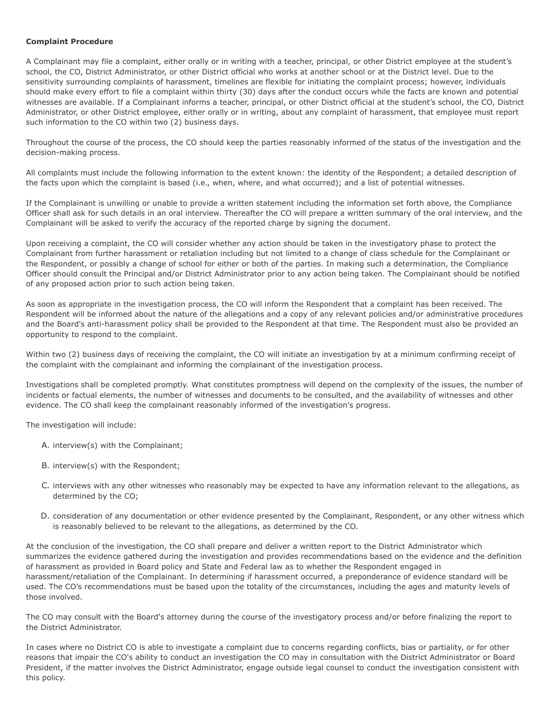# **Complaint Procedure**

A Complainant may file a complaint, either orally or in writing with a teacher, principal, or other District employee at the student's school, the CO, District Administrator, or other District official who works at another school or at the District level. Due to the sensitivity surrounding complaints of harassment, timelines are flexible for initiating the complaint process; however, individuals should make every effort to file a complaint within thirty (30) days after the conduct occurs while the facts are known and potential witnesses are available. If a Complainant informs a teacher, principal, or other District official at the student's school, the CO, District Administrator, or other District employee, either orally or in writing, about any complaint of harassment, that employee must report such information to the CO within two (2) business days.

Throughout the course of the process, the CO should keep the parties reasonably informed of the status of the investigation and the decision-making process.

All complaints must include the following information to the extent known: the identity of the Respondent; a detailed description of the facts upon which the complaint is based (i.e., when, where, and what occurred); and a list of potential witnesses.

If the Complainant is unwilling or unable to provide a written statement including the information set forth above, the Compliance Officer shall ask for such details in an oral interview. Thereafter the CO will prepare a written summary of the oral interview, and the Complainant will be asked to verify the accuracy of the reported charge by signing the document.

Upon receiving a complaint, the CO will consider whether any action should be taken in the investigatory phase to protect the Complainant from further harassment or retaliation including but not limited to a change of class schedule for the Complainant or the Respondent, or possibly a change of school for either or both of the parties. In making such a determination, the Compliance Officer should consult the Principal and/or District Administrator prior to any action being taken. The Complainant should be notified of any proposed action prior to such action being taken.

As soon as appropriate in the investigation process, the CO will inform the Respondent that a complaint has been received. The Respondent will be informed about the nature of the allegations and a copy of any relevant policies and/or administrative procedures and the Board's anti-harassment policy shall be provided to the Respondent at that time. The Respondent must also be provided an opportunity to respond to the complaint.

Within two (2) business days of receiving the complaint, the CO will initiate an investigation by at a minimum confirming receipt of the complaint with the complainant and informing the complainant of the investigation process.

Investigations shall be completed promptly. What constitutes promptness will depend on the complexity of the issues, the number of incidents or factual elements, the number of witnesses and documents to be consulted, and the availability of witnesses and other evidence. The CO shall keep the complainant reasonably informed of the investigation's progress.

The investigation will include:

- A. interview(s) with the Complainant;
- B. interview(s) with the Respondent;
- C. interviews with any other witnesses who reasonably may be expected to have any information relevant to the allegations, as determined by the CO;
- D. consideration of any documentation or other evidence presented by the Complainant, Respondent, or any other witness which is reasonably believed to be relevant to the allegations, as determined by the CO.

At the conclusion of the investigation, the CO shall prepare and deliver a written report to the District Administrator which summarizes the evidence gathered during the investigation and provides recommendations based on the evidence and the definition of harassment as provided in Board policy and State and Federal law as to whether the Respondent engaged in harassment/retaliation of the Complainant. In determining if harassment occurred, a preponderance of evidence standard will be used. The CO's recommendations must be based upon the totality of the circumstances, including the ages and maturity levels of those involved.

The CO may consult with the Board's attorney during the course of the investigatory process and/or before finalizing the report to the District Administrator.

In cases where no District CO is able to investigate a complaint due to concerns regarding conflicts, bias or partiality, or for other reasons that impair the CO's ability to conduct an investigation the CO may in consultation with the District Administrator or Board President, if the matter involves the District Administrator, engage outside legal counsel to conduct the investigation consistent with this policy.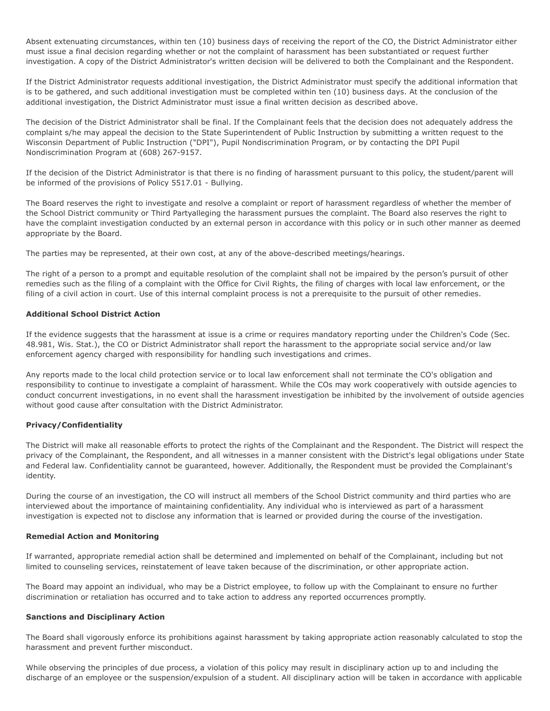Absent extenuating circumstances, within ten (10) business days of receiving the report of the CO, the District Administrator either must issue a final decision regarding whether or not the complaint of harassment has been substantiated or request further investigation. A copy of the District Administrator's written decision will be delivered to both the Complainant and the Respondent.

If the District Administrator requests additional investigation, the District Administrator must specify the additional information that is to be gathered, and such additional investigation must be completed within ten (10) business days. At the conclusion of the additional investigation, the District Administrator must issue a final written decision as described above.

The decision of the District Administrator shall be final. If the Complainant feels that the decision does not adequately address the complaint s/he may appeal the decision to the State Superintendent of Public Instruction by submitting a written request to the Wisconsin Department of Public Instruction ("DPI"), Pupil Nondiscrimination Program, or by contacting the DPI Pupil Nondiscrimination Program at (608) 267-9157.

If the decision of the District Administrator is that there is no finding of harassment pursuant to this policy, the student/parent will be informed of the provisions of Policy 5517.01 - Bullying.

The Board reserves the right to investigate and resolve a complaint or report of harassment regardless of whether the member of the School District community or Third Partyalleging the harassment pursues the complaint. The Board also reserves the right to have the complaint investigation conducted by an external person in accordance with this policy or in such other manner as deemed appropriate by the Board.

The parties may be represented, at their own cost, at any of the above-described meetings/hearings.

The right of a person to a prompt and equitable resolution of the complaint shall not be impaired by the person's pursuit of other remedies such as the filing of a complaint with the Office for Civil Rights, the filing of charges with local law enforcement, or the filing of a civil action in court. Use of this internal complaint process is not a prerequisite to the pursuit of other remedies.

# **Additional School District Action**

If the evidence suggests that the harassment at issue is a crime or requires mandatory reporting under the Children's Code (Sec. 48.981, Wis. Stat.), the CO or District Administrator shall report the harassment to the appropriate social service and/or law enforcement agency charged with responsibility for handling such investigations and crimes.

Any reports made to the local child protection service or to local law enforcement shall not terminate the CO's obligation and responsibility to continue to investigate a complaint of harassment. While the COs may work cooperatively with outside agencies to conduct concurrent investigations, in no event shall the harassment investigation be inhibited by the involvement of outside agencies without good cause after consultation with the District Administrator.

# **Privacy/Confidentiality**

The District will make all reasonable efforts to protect the rights of the Complainant and the Respondent. The District will respect the privacy of the Complainant, the Respondent, and all witnesses in a manner consistent with the District's legal obligations under State and Federal law. Confidentiality cannot be guaranteed, however. Additionally, the Respondent must be provided the Complainant's identity.

During the course of an investigation, the CO will instruct all members of the School District community and third parties who are interviewed about the importance of maintaining confidentiality. Any individual who is interviewed as part of a harassment investigation is expected not to disclose any information that is learned or provided during the course of the investigation.

#### **Remedial Action and Monitoring**

If warranted, appropriate remedial action shall be determined and implemented on behalf of the Complainant, including but not limited to counseling services, reinstatement of leave taken because of the discrimination, or other appropriate action.

The Board may appoint an individual, who may be a District employee, to follow up with the Complainant to ensure no further discrimination or retaliation has occurred and to take action to address any reported occurrences promptly.

# **Sanctions and Disciplinary Action**

The Board shall vigorously enforce its prohibitions against harassment by taking appropriate action reasonably calculated to stop the harassment and prevent further misconduct.

While observing the principles of due process, a violation of this policy may result in disciplinary action up to and including the discharge of an employee or the suspension/expulsion of a student. All disciplinary action will be taken in accordance with applicable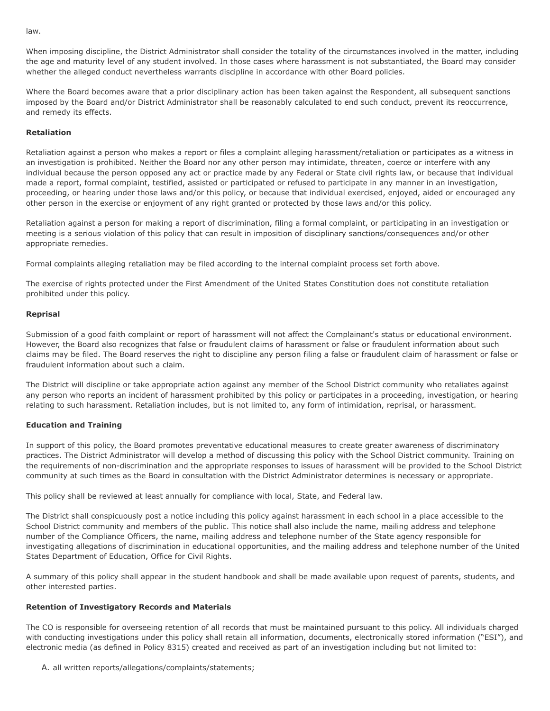law.

When imposing discipline, the District Administrator shall consider the totality of the circumstances involved in the matter, including the age and maturity level of any student involved. In those cases where harassment is not substantiated, the Board may consider whether the alleged conduct nevertheless warrants discipline in accordance with other Board policies.

Where the Board becomes aware that a prior disciplinary action has been taken against the Respondent, all subsequent sanctions imposed by the Board and/or District Administrator shall be reasonably calculated to end such conduct, prevent its reoccurrence, and remedy its effects.

# **Retaliation**

Retaliation against a person who makes a report or files a complaint alleging harassment/retaliation or participates as a witness in an investigation is prohibited. Neither the Board nor any other person may intimidate, threaten, coerce or interfere with any individual because the person opposed any act or practice made by any Federal or State civil rights law, or because that individual made a report, formal complaint, testified, assisted or participated or refused to participate in any manner in an investigation, proceeding, or hearing under those laws and/or this policy, or because that individual exercised, enjoyed, aided or encouraged any other person in the exercise or enjoyment of any right granted or protected by those laws and/or this policy.

Retaliation against a person for making a report of discrimination, filing a formal complaint, or participating in an investigation or meeting is a serious violation of this policy that can result in imposition of disciplinary sanctions/consequences and/or other appropriate remedies.

Formal complaints alleging retaliation may be filed according to the internal complaint process set forth above.

The exercise of rights protected under the First Amendment of the United States Constitution does not constitute retaliation prohibited under this policy.

# **Reprisal**

Submission of a good faith complaint or report of harassment will not affect the Complainant's status or educational environment. However, the Board also recognizes that false or fraudulent claims of harassment or false or fraudulent information about such claims may be filed. The Board reserves the right to discipline any person filing a false or fraudulent claim of harassment or false or fraudulent information about such a claim.

The District will discipline or take appropriate action against any member of the School District community who retaliates against any person who reports an incident of harassment prohibited by this policy or participates in a proceeding, investigation, or hearing relating to such harassment. Retaliation includes, but is not limited to, any form of intimidation, reprisal, or harassment.

# **Education and Training**

In support of this policy, the Board promotes preventative educational measures to create greater awareness of discriminatory practices. The District Administrator will develop a method of discussing this policy with the School District community. Training on the requirements of non-discrimination and the appropriate responses to issues of harassment will be provided to the School District community at such times as the Board in consultation with the District Administrator determines is necessary or appropriate.

This policy shall be reviewed at least annually for compliance with local, State, and Federal law.

The District shall conspicuously post a notice including this policy against harassment in each school in a place accessible to the School District community and members of the public. This notice shall also include the name, mailing address and telephone number of the Compliance Officers, the name, mailing address and telephone number of the State agency responsible for investigating allegations of discrimination in educational opportunities, and the mailing address and telephone number of the United States Department of Education, Office for Civil Rights.

A summary of this policy shall appear in the student handbook and shall be made available upon request of parents, students, and other interested parties.

# **Retention of Investigatory Records and Materials**

The CO is responsible for overseeing retention of all records that must be maintained pursuant to this policy. All individuals charged with conducting investigations under this policy shall retain all information, documents, electronically stored information ("ESI"), and electronic media (as defined in Policy 8315) created and received as part of an investigation including but not limited to:

# A. all written reports/allegations/complaints/statements;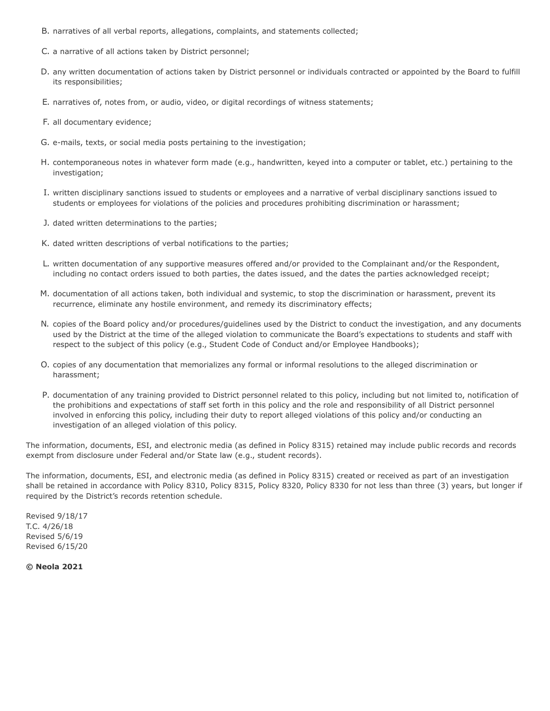- B. narratives of all verbal reports, allegations, complaints, and statements collected;
- C. a narrative of all actions taken by District personnel;
- D. any written documentation of actions taken by District personnel or individuals contracted or appointed by the Board to fulfill its responsibilities;
- E. narratives of, notes from, or audio, video, or digital recordings of witness statements;
- F. all documentary evidence;
- G. e-mails, texts, or social media posts pertaining to the investigation;
- H. contemporaneous notes in whatever form made (e.g., handwritten, keyed into a computer or tablet, etc.) pertaining to the investigation;
- I. written disciplinary sanctions issued to students or employees and a narrative of verbal disciplinary sanctions issued to students or employees for violations of the policies and procedures prohibiting discrimination or harassment;
- J. dated written determinations to the parties;
- K. dated written descriptions of verbal notifications to the parties;
- L. written documentation of any supportive measures offered and/or provided to the Complainant and/or the Respondent, including no contact orders issued to both parties, the dates issued, and the dates the parties acknowledged receipt;
- M. documentation of all actions taken, both individual and systemic, to stop the discrimination or harassment, prevent its recurrence, eliminate any hostile environment, and remedy its discriminatory effects;
- N. copies of the Board policy and/or procedures/guidelines used by the District to conduct the investigation, and any documents used by the District at the time of the alleged violation to communicate the Board's expectations to students and staff with respect to the subject of this policy (e.g., Student Code of Conduct and/or Employee Handbooks);
- O. copies of any documentation that memorializes any formal or informal resolutions to the alleged discrimination or harassment;
- P. documentation of any training provided to District personnel related to this policy, including but not limited to, notification of the prohibitions and expectations of staff set forth in this policy and the role and responsibility of all District personnel involved in enforcing this policy, including their duty to report alleged violations of this policy and/or conducting an investigation of an alleged violation of this policy.

The information, documents, ESI, and electronic media (as defined in Policy 8315) retained may include public records and records exempt from disclosure under Federal and/or State law (e.g., student records).

The information, documents, ESI, and electronic media (as defined in Policy 8315) created or received as part of an investigation shall be retained in accordance with Policy 8310, Policy 8315, Policy 8320, Policy 8330 for not less than three (3) years, but longer if required by the District's records retention schedule.

Revised 9/18/17 T.C. 4/26/18 Revised 5/6/19 Revised 6/15/20

**© Neola 2021**